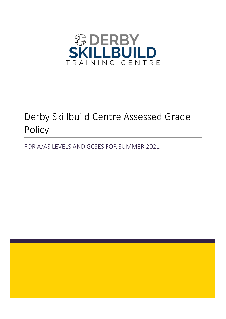

# Derby Skillbuild Centre Assessed Grade Policy

FOR A/AS LEVELS AND GCSES FOR SUMMER 2021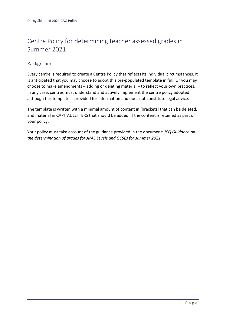# Centre Policy for determining teacher assessed grades in Summer 2021

# Background

Every centre is required to create a Centre Policy that reflects its individual circumstances. It is anticipated that you may choose to adopt this pre-populated template in full. Or you may choose to make amendments – adding or deleting material – to reflect your own practices. In any case, centres must understand and actively implement the centre policy adopted, although this template is provided for information and does not constitute legal advice.

The template is written with a minimal amount of content in [brackets] that can be deleted, and material in CAPITAL LETTERS that should be added, if the content is retained as part of your policy.

Your policy must take account of the guidance provided in the document: *JCQ Guidance on the determination of grades for A/AS Levels and GCSEs for summer 2021*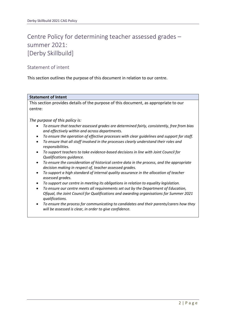# Centre Policy for determining teacher assessed grades – summer 2021: [Derby Skillbuild]

# Statement of intent

This section outlines the purpose of this document in relation to our centre.

# **Statement of Intent**

This section provides details of the purpose of this document, as appropriate to our centre:

*The purpose of this policy is:*

- *To ensure that teacher assessed grades are determined fairly, consistently, free from bias and effectively within and across departments.*
- *To ensure the operation of effective processes with clear guidelines and support for staff.*
- *To ensure that all staff involved in the processes clearly understand their roles and responsibilities.*
- *To support teachers to take evidence-based decisions in line with Joint Council for Qualifications guidance.*
- *To ensure the consideration of historical centre data in the process, and the appropriate decision making in respect of, teacher assessed grades.*
- *To support a high standard of internal quality assurance in the allocation of teacher assessed grades.*
- *To support our centre in meeting its obligations in relation to equality legislation.*
- *To ensure our centre meets all requirements set out by the Department of Education, Ofqual, the Joint Council for Qualifications and awarding organisations for Summer 2021 qualifications.*
- *To ensure the process for communicating to candidates and their parents/carers how they will be assessed is clear, in order to give confidence.*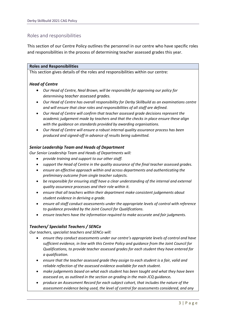# Roles and responsibilities

This section of our Centre Policy outlines the personnel in our centre who have specific roles and responsibilities in the process of determining teacher assessed grades this year.

#### **Roles and Responsibilities**

This section gives details of the roles and responsibilities within our centre:

# *Head of Centre*

- *Our Head of Centre, Neal Brown, will be responsible for approving our policy for determining teacher assessed grades.*
- *Our Head of Centre has overall responsibility for Derby Skillbuild as an examinations centre and will ensure that clear roles and responsibilities of all staff are defined.*
- *Our Head of Centre will confirm that teacher assessed grade decisions represent the academic judgement made by teachers and that the checks in place ensure these align with the guidance on standards provided by awarding organisations.*
- *Our Head of Centre will ensure a robust internal quality assurance process has been produced and signed-off in advance of results being submitted.*

# *Senior Leadership Team and Heads of Department*

*Our Senior Leadership Team and Heads of Departments will:*

- *provide training and support to our other staff.*
- *support the Head of Centre in the quality assurance of the final teacher assessed grades.*
- *ensure an effective approach within and across departments and authenticating the preliminary outcome from single teacher subjects.*
- *be responsible for ensuring staff have a clear understanding of the internal and external quality assurance processes and their role within it.*
- *ensure that all teachers within their department make consistent judgements about student evidence in deriving a grade.*
- *ensure all staff conduct assessments under the appropriate levels of control with reference to guidance provided by the Joint Council for Qualifications.*
- *ensure teachers have the information required to make accurate and fair judgments.*

# *Teachers/ Specialist Teachers / SENCo*

*Our teachers, specialist teachers and SENCo will:*

- *ensure they conduct assessments under our centre's appropriate levels of control and have sufficient evidence, in line with this Centre Policy and guidance from the Joint Council for Qualifications, to provide teacher assessed grades for each student they have entered for a qualification.*
- *ensure that the teacher assessed grade they assign to each student is a fair, valid and reliable reflection of the assessed evidence available for each student.*
- *make judgements based on what each student has been taught and what they have been assessed on, as outlined in the section on grading in the main JCQ guidance.*
- *produce an Assessment Record for each subject cohort, that includes the nature of the assessment evidence being used, the level of control for assessments considered, and any*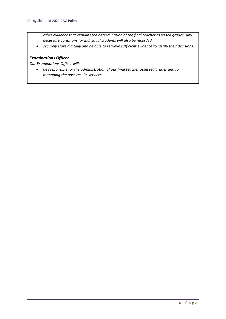*other evidence that explains the determination of the final teacher assessed grades. Any necessary variations for individual students will also be recorded.* 

• *securely store digitally and be able to retrieve sufficient evidence to justify their decisions.*

#### *Examinations Officer*

*Our Examinations Officer will:*

• *be responsible for the administration of our final teacher assessed grades and for managing the post-results services.*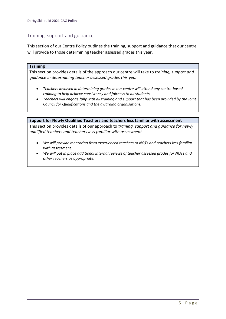# Training, support and guidance

This section of our Centre Policy outlines the training, support and guidance that our centre will provide to those determining teacher assessed grades this year.

#### **Training**

This section provides details of the approach our centre will take to *training, support and guidance in determining teacher assessed grades this year*

- *Teachers involved in determining grades in our centre will attend any centre-based training to help achieve consistency and fairness to all students.*
- *Teachers will engage fully with all training and support that has been provided by the Joint Council for Qualifications and the awarding organisations.*

#### **Support for Newly Qualified Teachers and teachers less familiar with assessment**

This section provides details of our approach to *training, support and guidance for newly qualified teachers and teachers less familiar with assessment*

- *We will provide mentoring from experienced teachers to NQTs and teachers less familiar with assessment.*
- *We will put in place additional internal reviews of teacher assessed grades for NQTs and other teachers as appropriate.*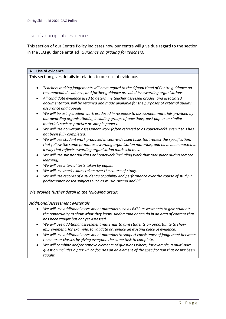# Use of appropriate evidence

This section of our Centre Policy indicates how our centre will give due regard to the section in the JCQ guidance entitled: *Guidance on grading for teachers*.

# **A. Use of evidence**

This section gives details in relation to our use of evidence.

- *Teachers making judgements will have regard to the Ofqual Head of Centre guidance on recommended evidence, and further guidance provided by awarding organisations.*
- *All candidate evidence used to determine teacher assessed grades, and associated documentation, will be retained and made available for the purposes of external quality assurance and appeals.*
- *We will be using student work produced in response to assessment materials provided by our awarding organisation(s), including groups of questions, past papers or similar materials such as practice or sample papers.*
- *We will use non-exam assessment work (often referred to as coursework), even if this has not been fully completed.*
- *We will use student work produced in centre-devised tasks that reflect the specification, that follow the same format as awarding organisation materials, and have been marked in a way that reflects awarding organisation mark schemes.*
- *We will use substantial class or homework (including work that took place during remote learning).*
- *We will use internal tests taken by pupils.*
- *We will use mock exams taken over the course of study.*
- *We will use records of a student's capability and performance over the course of study in performance-based subjects such as music, drama and PE.*

*We provide further detail in the following areas:*

# *Additional Assessment Materials*

- *We will use additional assessment materials such as BKSB assessments to give students the opportunity to show what they know, understand or can do in an area of content that has been taught but not yet assessed.*
- *We will use additional assessment materials to give students an opportunity to show improvement, for example, to validate or replace an existing piece of evidence.*
- *We will use additional assessment materials to support consistency of judgement between teachers or classes by giving everyone the same task to complete.*
- *We will combine and/or remove elements of questions where, for example, a multi-part question includes a part which focuses on an element of the specification that hasn't been taught.*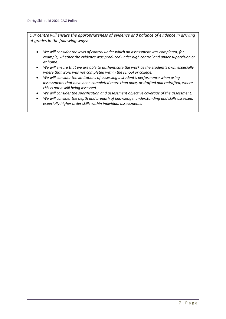*Our centre will ensure the appropriateness of evidence and balance of evidence in arriving at grades in the following ways:*

- *We will consider the level of control under which an assessment was completed, for example, whether the evidence was produced under high control and under supervision or at home.*
- *We will ensure that we are able to authenticate the work as the student's own, especially where that work was not completed within the school or college.*
- *We will consider the limitations of assessing a student's performance when using assessments that have been completed more than once, or drafted and redrafted, where this is not a skill being assessed.*
- *We will consider the specification and assessment objective coverage of the assessment.*
- *We will consider the depth and breadth of knowledge, understanding and skills assessed, especially higher order skills within individual assessments.*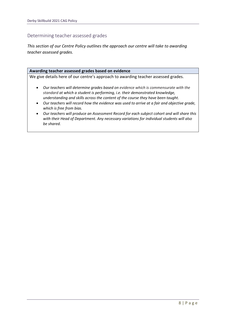# Determining teacher assessed grades

*This section of our Centre Policy outlines the approach our centre will take to awarding teacher assessed grades.*

#### **Awarding teacher assessed grades based on evidence**

We give details here of our centre's approach to awarding teacher assessed grades*.*

- *Our teachers will determine grades based on evidence which is commensurate with the standard at which a student is performing, i.e. their demonstrated knowledge, understanding and skills across the content of the course they have been taught.*
- *Our teachers will record how the evidence was used to arrive at a fair and objective grade, which is free from bias.*
- *Our teachers will produce an Assessment Record for each subject cohort and will share this with their Head of Department. Any necessary variations for individual students will also be shared.*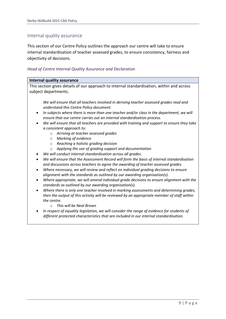# Internal quality assurance

This section of our Centre Policy outlines the approach our centre will take to ensure internal standardisation of teacher assessed grades, to ensure consistency, fairness and objectivity of decisions.

# *Head of Centre Internal Quality Assurance and Declaration*

| <b>Internal quality assurance</b>                                                                                                                                                           |
|---------------------------------------------------------------------------------------------------------------------------------------------------------------------------------------------|
| This section gives details of our approach to internal standardisation, within and across                                                                                                   |
| subject departments.                                                                                                                                                                        |
|                                                                                                                                                                                             |
| We will ensure that all teachers involved in deriving teacher assessed grades read and<br>understand this Centre Policy document.                                                           |
| In subjects where there is more than one teacher and/or class in the department, we will<br>$\bullet$<br>ensure that our centre carries out an internal standardisation process.            |
| We will ensure that all teachers are provided with training and support to ensure they take<br>a consistent approach to:                                                                    |
| Arriving at teacher assessed grades<br>$\Omega$                                                                                                                                             |
| Marking of evidence<br>$\Omega$                                                                                                                                                             |
| Reaching a holistic grading decision<br>$\circ$                                                                                                                                             |
| Applying the use of grading support and documentation<br>$\circ$                                                                                                                            |
| We will conduct internal standardisation across all grades.                                                                                                                                 |
| We will ensure that the Assessment Record will form the basis of internal standardisation<br>$\bullet$<br>and discussions across teachers to agree the awarding of teacher assessed grades. |
| Where necessary, we will review and reflect on individual grading decisions to ensure<br>$\bullet$                                                                                          |
| alignment with the standards as outlined by our awarding organisation(s).                                                                                                                   |
| Where appropriate, we will amend individual grade decisions to ensure alignment with the<br>standards as outlined by our awarding organisation(s).                                          |
| Where there is only one teacher involved in marking assessments and determining grades,<br>$\bullet$                                                                                        |
| then the output of this activity will be reviewed by an appropriate member of staff within                                                                                                  |
| the centre.                                                                                                                                                                                 |
| This will be Neal Brown<br>$\bigcirc$                                                                                                                                                       |
| In respect of equality legislation, we will consider the range of evidence for students of<br>different protected characteristics that are included in our internal standardisation.        |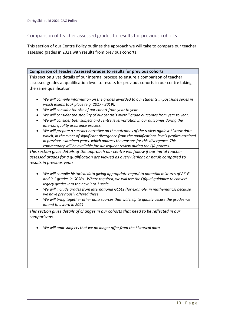# Comparison of teacher assessed grades to results for previous cohorts

This section of our Centre Policy outlines the approach we will take to compare our teacher assessed grades in 2021 with results from previous cohorts.

#### **Comparison of Teacher Assessed Grades to results for previous cohorts**

This section gives details of our internal process to ensure a comparison of teacher assessed grades at qualification level to results for previous cohorts in our centre taking the same qualification.

- *We will compile information on the grades awarded to our students in past June series in which exams took place (e.g. 2017 - 2019).*
- *We will consider the size of our cohort from year to year.*
- *We will consider the stability of our centre's overall grade outcomes from year to year.*
- *We will consider both subject and centre level variation in our outcomes during the internal quality assurance process.*
- *We will prepare a succinct narrative on the outcomes of the review against historic data which, in the event of significant divergence from the qualifications-levels profiles attained in previous examined years, which address the reasons for this divergence. This commentary will be available for subsequent review during the QA process.*

*This section gives details of the approach our centre will follow if our initial teacher assessed grades for a qualification are viewed as overly lenient or harsh compared to results in previous years.*

- *We will compile historical data giving appropriate regard to potential mixtures of A\*-G and 9-1 grades in GCSEs. Where required, we will use the Ofqual guidance to convert legacy grades into the new 9 to 1 scale.*
- *We will include grades from international GCSEs (for example, in mathematics) because we have previously offered these.*
- *We will bring together other data sources that will help to quality assure the grades we intend to award in 2021.*

*This section gives details of changes in our cohorts that need to be reflected in our comparisons.* 

• *We will omit subjects that we no longer offer from the historical data.*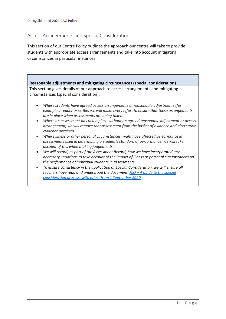# Access Arrangements and Special Considerations

This section of our Centre Policy outlines the approach our centre will take to provide students with appropriate access arrangements and take into account mitigating circumstances in particular instances.

**Reasonable adjustments and mitigating circumstances (special consideration)** This section gives details of our approach to access arrangements and mitigating circumstances (special consideration).

- *Where students have agreed access arrangements or reasonable adjustments (for example a reader or scribe) we will make every effort to ensure that these arrangements are in place when assessments are being taken.*
- *Where an assessment has taken place without an agreed reasonable adjustment or access arrangement, we will remove that assessment from the basket of evidence and alternative evidence obtained.*
- *Where illness or other personal circumstances might have affected performance in assessments used in determining a student's standard of performance, we will take account of this when making judgements.*
- *We will record, as part of the Assessment Record, how we have incorporated any necessary variations to take account of the impact of illness or personal circumstances on the performance of individual students in assessments.*
- *To ensure consistency in the application of Special Consideration, we will ensure all teachers have read and understood the document: JCQ – [A guide to the special](https://www.jcq.org.uk/wp-content/uploads/2020/08/A-guide-to-the-spec-con-process-202021-Website-version.pdf)  [consideration process, with effect from 1 September 2020](https://www.jcq.org.uk/wp-content/uploads/2020/08/A-guide-to-the-spec-con-process-202021-Website-version.pdf)*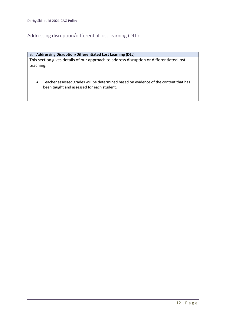# Addressing disruption/differential lost learning (DLL)

# B. **Addressing Disruption/Differentiated Lost Learning (DLL)**

This section gives details of our approach to address disruption or differentiated lost teaching.

• Teacher assessed grades will be determined based on evidence of the content that has been taught and assessed for each student.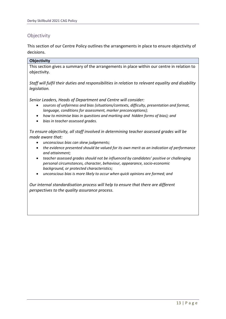# **Objectivity**

This section of our Centre Policy outlines the arrangements in place to ensure objectivity of decisions.

# **Objectivity**

This section gives a summary of the arrangements in place within our centre in relation to objectivity.

*Staff will fulfil their duties and responsibilities in relation to relevant equality and disability legislation.*

*Senior Leaders, Heads of Department and Centre will consider:*

- *sources of unfairness and bias (situations/contexts, difficulty, presentation and format, language, conditions for assessment, marker preconceptions);*
- *how to minimise bias in questions and marking and hidden forms of bias); and*
- *bias in teacher assessed grades.*

*To ensure objectivity, all staff involved in determining teacher assessed grades will be made aware that:*

- *unconscious bias can skew judgements;*
- *the evidence presented should be valued for its own merit as an indication of performance and attainment;*
- *teacher assessed grades should not be influenced by candidates' positive or challenging personal circumstances, character, behaviour, appearance, socio-economic background, or protected characteristics;*
- *unconscious bias is more likely to occur when quick opinions are formed; and*

*Our internal standardisation process will help to ensure that there are different perspectives to the quality assurance process.*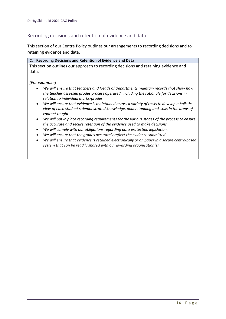# Recording decisions and retention of evidence and data

This section of our Centre Policy outlines our arrangements to recording decisions and to retaining evidence and data.

#### **C. Recording Decisions and Retention of Evidence and Data**

This section outlines our approach to recording decisions and retaining evidence and data.

# *[For example:]*

- *We will ensure that teachers and Heads of Departments maintain records that show how the teacher assessed grades process operated, including the rationale for decisions in relation to individual marks/grades.*
- *We will ensure that evidence is maintained across a variety of tasks to develop a holistic view of each student's demonstrated knowledge, understanding and skills in the areas of content taught.*
- *We will put in place recording requirements for the various stages of the process to ensure the accurate and secure retention of the evidence used to make decisions.*
- *We will comply with our obligations regarding data protection legislation.*
- *We will ensure that the grades accurately reflect the evidence submitted.*
- *We will ensure that evidence is retained electronically or on paper in a secure centre-based system that can be readily shared with our awarding organisation(s).*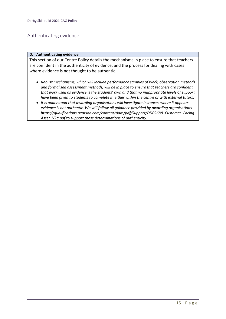# Authenticating evidence

#### **D. Authenticating evidence**

This section of our Centre Policy details the mechanisms in place to ensure that teachers are confident in the authenticity of evidence, and the process for dealing with cases where evidence is not thought to be authentic.

- *Robust mechanisms, which will include performance samples of work, observation methods and formalised assessment methods, will be in place to ensure that teachers are confident that work used as evidence is the students' own and that no inappropriate levels of support have been given to students to complete it, either within the centre or with external tutors.*
- *It is understood that awarding organisations will investigate instances where it appears evidence is not authentic. We will follow all guidance provided by awarding organisations https://qualifications.pearson.com/content/dam/pdf/Support/DD02688\_Customer\_Facing\_ Asset\_V2g.pdf to support these determinations of authenticity.*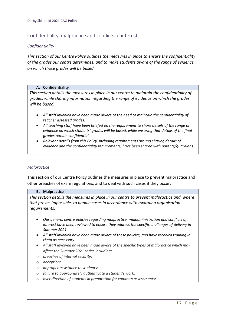# Confidentiality, malpractice and conflicts of interest

# *Confidentiality*

*This section of our Centre Policy outlines the measures in place to ensure the confidentiality of the grades our centre determines, and to make students aware of the range of evidence on which those grades will be based.*

#### **A. Confidentiality**

*This section details the measures in place in our centre to maintain the confidentiality of grades, while sharing information regarding the range of evidence on which the grades will be based.* 

- *All staff involved have been made aware of the need to maintain the confidentiality of teacher assessed grades.*
- *All teaching staff have been briefed on the requirement to share details of the range of evidence on which students' grades will be based, while ensuring that details of the final grades remain confidential.*
- *Relevant details from this Policy, including requirements around sharing details of evidence and the confidentiality requirements, have been shared with parents/guardians.*

# *Malpractice*

This section of our Centre Policy outlines the measures in place to prevent malpractice and other breaches of exam regulations, and to deal with such cases if they occur.

#### **B. Malpractice**

*This section details the measures in place in our centre to prevent malpractice and, where that proves impossible, to handle cases in accordance with awarding organisation requirements.*

- *Our general centre policies regarding malpractice, maladministration and conflicts of interest have been reviewed to ensure they address the specific challenges of delivery in Summer 2021.*
- *All staff involved have been made aware of these policies, and have received training in them as necessary.*
- *All staff involved have been made aware of the specific types of malpractice which may affect the Summer 2021 series including:*
- o *breaches of internal security;*
- o *deception;*
- o *improper assistance to students;*
- o *failure to appropriately authenticate a student's work;*
- o *over direction of students in preparation for common assessments;*